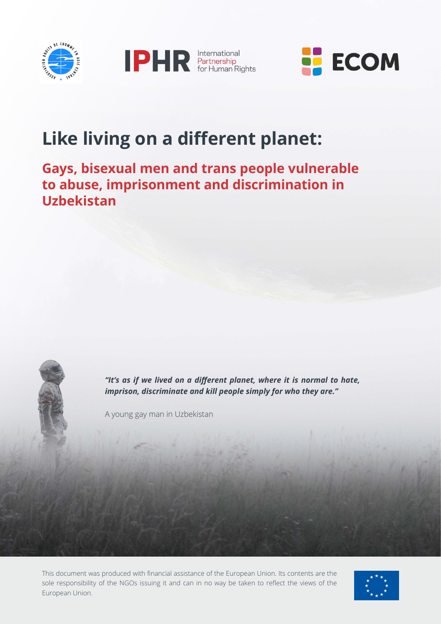





## **Like living on a different planet:**

#### **Gays, bisexual men and trans people vulnerable to abuse, imprisonment and discrimination in Uzbekistan**

*"It's as if we lived on a different planet, where it is normal to hate, imprison, discriminate and kill people simply for who they are."* 

A young gay man in Uzbekistan

This document was produced with financial assistance of the European Union. Its contents are the sole responsibility of the NGOs issuing it and can in no way be taken to reflect the views of the European Union.

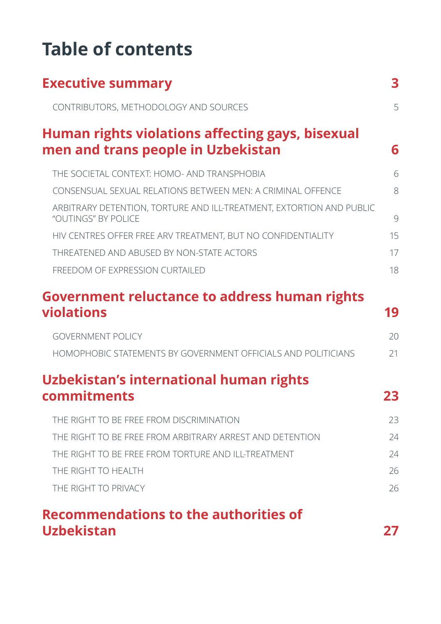# **Table of contents**

| <b>Executive summary</b>                                                                    | 3  |
|---------------------------------------------------------------------------------------------|----|
| CONTRIBUTORS, METHODOLOGY AND SOURCES                                                       | 5  |
| Human rights violations affecting gays, bisexual<br>men and trans people in Uzbekistan      | 6  |
| THE SOCIETAL CONTEXT: HOMO- AND TRANSPHOBIA                                                 | 6  |
| CONSENSUAL SEXUAL RELATIONS BETWEEN MEN: A CRIMINAL OFFENCE                                 | 8  |
| ARBITRARY DETENTION, TORTURE AND ILL-TREATMENT, EXTORTION AND PUBLIC<br>"OUTINGS" BY POLICE | 9  |
| HIV CENTRES OFFER FREE ARV TREATMENT, BUT NO CONFIDENTIALITY                                | 15 |
| THREATENED AND ABUSED BY NON-STATE ACTORS                                                   | 17 |
| FREEDOM OF EXPRESSION CURTAILED                                                             | 18 |
| <b>Government reluctance to address human rights</b><br><b>violations</b>                   | 19 |
| <b>GOVERNMENT POLICY</b>                                                                    | 20 |
| <b>HOMOPHOBIC STATEMENTS BY GOVERNMENT OFFICIALS AND POLITICIANS</b>                        | 21 |
| Uzbekistan's international human rights                                                     |    |
| commitments                                                                                 | 23 |
| THE RIGHT TO BE FREE FROM DISCRIMINATION                                                    | 23 |
| THE RIGHT TO BE FREE FROM ARBITRARY ARREST AND DETENTION                                    | 24 |
| THE RIGHT TO BE FREE FROM TORTURE AND ILL-TREATMENT                                         | 24 |
| THE RIGHT TO HEALTH                                                                         | 26 |
| THE RIGHT TO PRIVACY                                                                        | 26 |
| Recommendations to the authorities of                                                       |    |
| <b>Uzbekistan</b>                                                                           |    |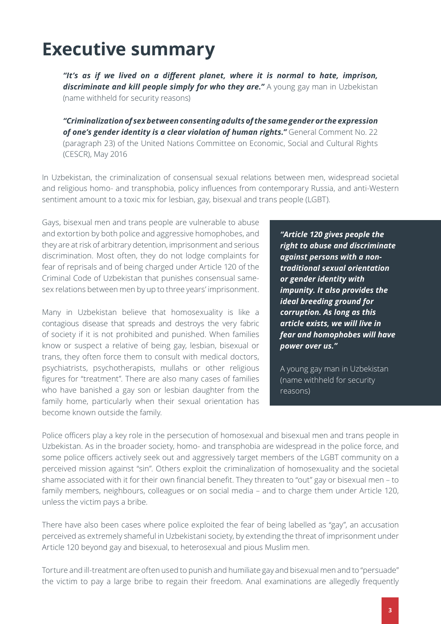## <span id="page-2-0"></span>**Executive summary**

*"It's as if we lived on a different planet, where it is normal to hate, imprison,*  **discriminate and kill people simply for who they are."** A young gay man in Uzbekistan (name withheld for security reasons)

*"Criminalization of sex between consenting adults of the same gender or the expression of one's gender identity is a clear violation of human rights."* General Comment No. 22 (paragraph 23) of the United Nations Committee on Economic, Social and Cultural Rights (CESCR), May 2016

In Uzbekistan, the criminalization of consensual sexual relations between men, widespread societal and religious homo- and transphobia, policy influences from contemporary Russia, and anti-Western sentiment amount to a toxic mix for lesbian, gay, bisexual and trans people (LGBT).

Gays, bisexual men and trans people are vulnerable to abuse and extortion by both police and aggressive homophobes, and they are at risk of arbitrary detention, imprisonment and serious discrimination. Most often, they do not lodge complaints for fear of reprisals and of being charged under Article 120 of the Criminal Code of Uzbekistan that punishes consensual samesex relations between men by up to three years' imprisonment.

Many in Uzbekistan believe that homosexuality is like a contagious disease that spreads and destroys the very fabric of society if it is not prohibited and punished. When families know or suspect a relative of being gay, lesbian, bisexual or trans, they often force them to consult with medical doctors, psychiatrists, psychotherapists, mullahs or other religious figures for "treatment". There are also many cases of families who have banished a gay son or lesbian daughter from the family home, particularly when their sexual orientation has become known outside the family.

*"Article 120 gives people the right to abuse and discriminate against persons with a nontraditional sexual orientation or gender identity with impunity. It also provides the ideal breeding ground for corruption. As long as this article exists, we will live in fear and homophobes will have power over us."*

A young gay man in Uzbekistan (name withheld for security reasons)

Police officers play a key role in the persecution of homosexual and bisexual men and trans people in Uzbekistan. As in the broader society, homo- and transphobia are widespread in the police force, and some police officers actively seek out and aggressively target members of the LGBT community on a perceived mission against "sin". Others exploit the criminalization of homosexuality and the societal shame associated with it for their own financial benefit. They threaten to "out" gay or bisexual men – to family members, neighbours, colleagues or on social media – and to charge them under Article 120, unless the victim pays a bribe.

There have also been cases where police exploited the fear of being labelled as "gay", an accusation perceived as extremely shameful in Uzbekistani society, by extending the threat of imprisonment under Article 120 beyond gay and bisexual, to heterosexual and pious Muslim men.

Torture and ill-treatment are often used to punish and humiliate gay and bisexual men and to "persuade" the victim to pay a large bribe to regain their freedom. Anal examinations are allegedly frequently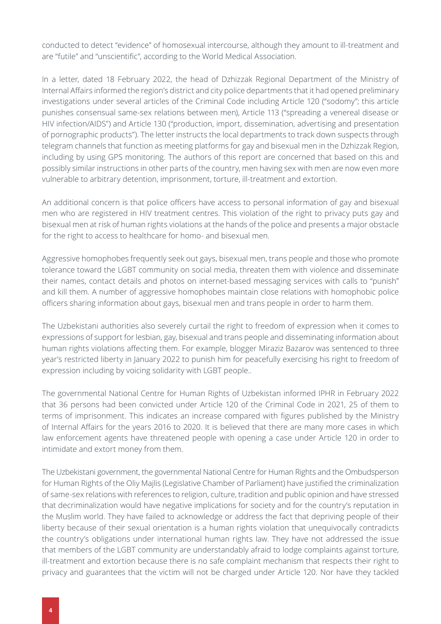conducted to detect "evidence" of homosexual intercourse, although they amount to ill-treatment and are "futile" and "unscientific", according to the World Medical Association.

In a letter, dated 18 February 2022, the head of Dzhizzak Regional Department of the Ministry of Internal Affairs informed the region's district and city police departments that it had opened preliminary investigations under several articles of the Criminal Code including Article 120 ("sodomy"; this article punishes consensual same-sex relations between men), Article 113 ("spreading a venereal disease or HIV infection/AIDS") and Article 130 ("production, import, dissemination, advertising and presentation of pornographic products"). The letter instructs the local departments to track down suspects through telegram channels that function as meeting platforms for gay and bisexual men in the Dzhizzak Region, including by using GPS monitoring. The authors of this report are concerned that based on this and possibly similar instructions in other parts of the country, men having sex with men are now even more vulnerable to arbitrary detention, imprisonment, torture, ill-treatment and extortion.

An additional concern is that police officers have access to personal information of gay and bisexual men who are registered in HIV treatment centres. This violation of the right to privacy puts gay and bisexual men at risk of human rights violations at the hands of the police and presents a major obstacle for the right to access to healthcare for homo- and bisexual men.

Aggressive homophobes frequently seek out gays, bisexual men, trans people and those who promote tolerance toward the LGBT community on social media, threaten them with violence and disseminate their names, contact details and photos on internet-based messaging services with calls to "punish" and kill them. A number of aggressive homophobes maintain close relations with homophobic police officers sharing information about gays, bisexual men and trans people in order to harm them.

The Uzbekistani authorities also severely curtail the right to freedom of expression when it comes to expressions of support for lesbian, gay, bisexual and trans people and disseminating information about human rights violations affecting them. For example, blogger Miraziz Bazarov was sentenced to three year's restricted liberty in January 2022 to punish him for peacefully exercising his right to freedom of expression including by voicing solidarity with LGBT people..

The governmental National Centre for Human Rights of Uzbekistan informed IPHR in February 2022 that 36 persons had been convicted under Article 120 of the Criminal Code in 2021, 25 of them to terms of imprisonment. This indicates an increase compared with figures published by the Ministry of Internal Affairs for the years 2016 to 2020. It is believed that there are many more cases in which law enforcement agents have threatened people with opening a case under Article 120 in order to intimidate and extort money from them.

The Uzbekistani government, the governmental National Centre for Human Rights and the Ombudsperson for Human Rights of the Oliy Majlis (Legislative Chamber of Parliament) have justified the criminalization of same-sex relations with references to religion, culture, tradition and public opinion and have stressed that decriminalization would have negative implications for society and for the country's reputation in the Muslim world. They have failed to acknowledge or address the fact that depriving people of their liberty because of their sexual orientation is a human rights violation that unequivocally contradicts the country's obligations under international human rights law. They have not addressed the issue that members of the LGBT community are understandably afraid to lodge complaints against torture, ill-treatment and extortion because there is no safe complaint mechanism that respects their right to privacy and guarantees that the victim will not be charged under Article 120. Nor have they tackled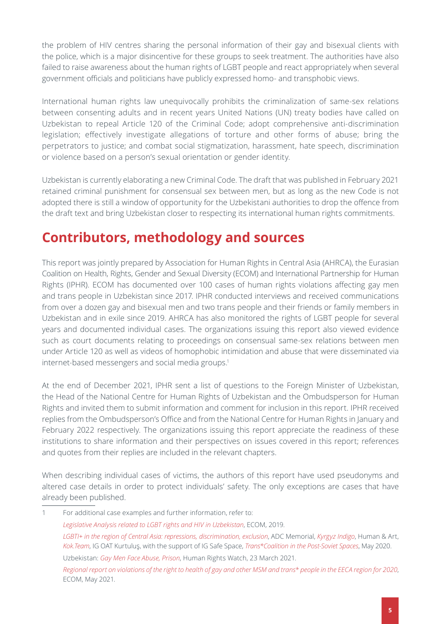the problem of HIV centres sharing the personal information of their gay and bisexual clients with the police, which is a major disincentive for these groups to seek treatment. The authorities have also failed to raise awareness about the human rights of LGBT people and react appropriately when several government officials and politicians have publicly expressed homo- and transphobic views.

International human rights law unequivocally prohibits the criminalization of same-sex relations between consenting adults and in recent years United Nations (UN) treaty bodies have called on Uzbekistan to repeal Article 120 of the Criminal Code; adopt comprehensive anti-discrimination legislation; effectively investigate allegations of torture and other forms of abuse; bring the perpetrators to justice; and combat social stigmatization, harassment, hate speech, discrimination or violence based on a person's sexual orientation or gender identity.

Uzbekistan is currently elaborating a new Criminal Code. The draft that was published in February 2021 retained criminal punishment for consensual sex between men, but as long as the new Code is not adopted there is still a window of opportunity for the Uzbekistani authorities to drop the offence from the draft text and bring Uzbekistan closer to respecting its international human rights commitments.

### <span id="page-4-0"></span>**Contributors, methodology and sources**

This report was jointly prepared by Association for Human Rights in Central Asia (AHRCA), the Eurasian Coalition on Health, Rights, Gender and Sexual Diversity (ECOM) and International Partnership for Human Rights (IPHR). ECOM has documented over 100 cases of human rights violations affecting gay men and trans people in Uzbekistan since 2017. IPHR conducted interviews and received communications from over a dozen gay and bisexual men and two trans people and their friends or family members in Uzbekistan and in exile since 2019. AHRCA has also monitored the rights of LGBT people for several years and documented individual cases. The organizations issuing this report also viewed evidence such as court documents relating to proceedings on consensual same-sex relations between men under Article 120 as well as videos of homophobic intimidation and abuse that were disseminated via internet-based messengers and social media groups.<sup>1</sup>

At the end of December 2021, IPHR sent a list of questions to the Foreign Minister of Uzbekistan, the Head of the National Centre for Human Rights of Uzbekistan and the Ombudsperson for Human Rights and invited them to submit information and comment for inclusion in this report. IPHR received replies from the Ombudsperson's Office and from the National Centre for Human Rights in January and February 2022 respectively. The organizations issuing this report appreciate the readiness of these institutions to share information and their perspectives on issues covered in this report; references and quotes from their replies are included in the relevant chapters.

When describing individual cases of victims, the authors of this report have used pseudonyms and altered case details in order to protect individuals' safety. The only exceptions are cases that have already been published.

1 For additional case examples and further information, refer to: *[Legislative Analysis related to LGBT rights and HIV in Uzbekistan](https://ecom.ngo/wp-content/uploads/2019/12/ECOM_Legal-Environment-Assessment-2019_Uzbekistan_ENG.pdf)*, ЕCОМ, 2019. *[LGBTI+ in the region of Central Asia: repressions, discrimination, exclusion](https://adcmemorial.org/wp-content/uploads/lgbti_ca_eng1.pdf)*, ADC Memorial, *[Кyrgyz Indigo](https://donate.indigo.kg/)*, Human & Art, *[Kok.Team](https://www.kok.team/en)*, IG OAT Kurtuluş, with the support of IG Safe Space, *[Trans\\*Coalition in the Post-Soviet Spaces](https://www.transcoalition.net/)*, May 2020. Uzbekistan: *[Gay Men Face Abuse, Prison](https://www.hrw.org/news/2021/03/23/uzbekistan-gay-men-face-abuse-prison)*, Human Rights Watch, 23 March 2021. *[Regional report on violations of the right to health of gay and other MSM and trans\\* people in the EECA region for 2020](https://ecom.ngo/news-ecom/hrreport2020-en)*, ECOM, May 2021.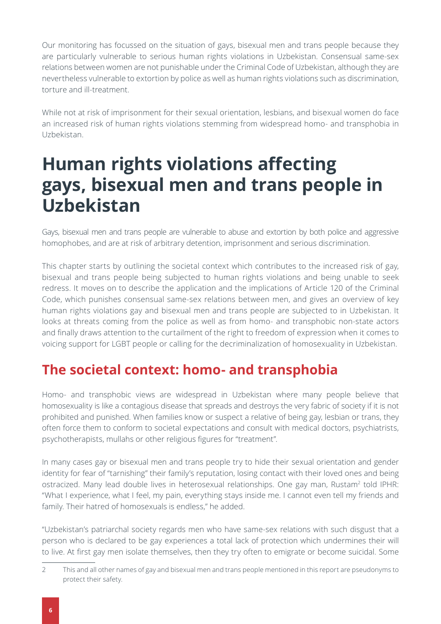Our monitoring has focussed on the situation of gays, bisexual men and trans people because they are particularly vulnerable to serious human rights violations in Uzbekistan. Consensual same-sex relations between women are not punishable under the Criminal Code of Uzbekistan, although they are nevertheless vulnerable to extortion by police as well as human rights violations such as discrimination, torture and ill-treatment.

While not at risk of imprisonment for their sexual orientation, lesbians, and bisexual women do face an increased risk of human rights violations stemming from widespread homo- and transphobia in Uzbekistan.

## <span id="page-5-0"></span>**Human rights violations affecting gays, bisexual men and trans people in Uzbekistan**

Gays, bisexual men and trans people are vulnerable to abuse and extortion by both police and aggressive homophobes, and are at risk of arbitrary detention, imprisonment and serious discrimination.

This chapter starts by outlining the societal context which contributes to the increased risk of gay, bisexual and trans people being subjected to human rights violations and being unable to seek redress. It moves on to describe the application and the implications of Article 120 of the Criminal Code, which punishes consensual same-sex relations between men, and gives an overview of key human rights violations gay and bisexual men and trans people are subjected to in Uzbekistan. It looks at threats coming from the police as well as from homo- and transphobic non-state actors and finally draws attention to the curtailment of the right to freedom of expression when it comes to voicing support for LGBT people or calling for the decriminalization of homosexuality in Uzbekistan.

#### <span id="page-5-1"></span>**The societal context: homo- and transphobia**

Homo- and transphobic views are widespread in Uzbekistan where many people believe that homosexuality is like a contagious disease that spreads and destroys the very fabric of society if it is not prohibited and punished. When families know or suspect a relative of being gay, lesbian or trans, they often force them to conform to societal expectations and consult with medical doctors, psychiatrists, psychotherapists, mullahs or other religious figures for "treatment".

In many cases gay or bisexual men and trans people try to hide their sexual orientation and gender identity for fear of "tarnishing" their family's reputation, losing contact with their loved ones and being ostracized. Many lead double lives in heterosexual relationships. One gay man, Rustam<sup>2</sup> told IPHR: "What I experience, what I feel, my pain, everything stays inside me. I cannot even tell my friends and family. Their hatred of homosexuals is endless," he added.

"Uzbekistan's patriarchal society regards men who have same-sex relations with such disgust that a person who is declared to be gay experiences a total lack of protection which undermines their will to live. At first gay men isolate themselves, then they try often to emigrate or become suicidal. Some

<sup>2</sup> This and all other names of gay and bisexual men and trans people mentioned in this report are pseudonyms to protect their safety.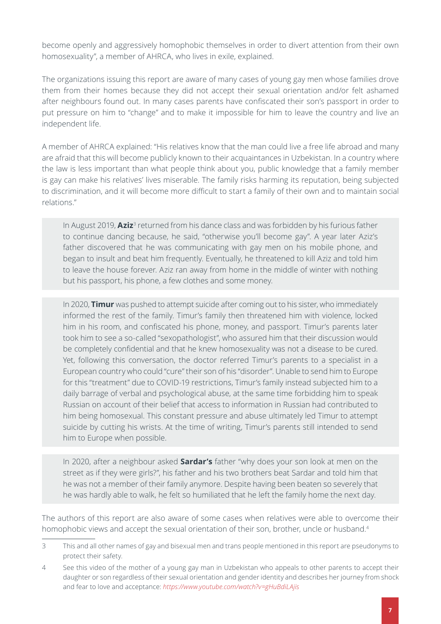become openly and aggressively homophobic themselves in order to divert attention from their own homosexuality", a member of AHRCA, who lives in exile, explained.

The organizations issuing this report are aware of many cases of young gay men whose families drove them from their homes because they did not accept their sexual orientation and/or felt ashamed after neighbours found out. In many cases parents have confiscated their son's passport in order to put pressure on him to "change" and to make it impossible for him to leave the country and live an independent life.

A member of AHRCA explained: "His relatives know that the man could live a free life abroad and many are afraid that this will become publicly known to their acquaintances in Uzbekistan. In a country where the law is less important than what people think about you, public knowledge that a family member is gay can make his relatives' lives miserable. The family risks harming its reputation, being subjected to discrimination, and it will become more difficult to start a family of their own and to maintain social relations."

In August 2019, **Aziz**<sup>3</sup> returned from his dance class and was forbidden by his furious father to continue dancing because, he said, "otherwise you'll become gay". A year later Aziz's father discovered that he was communicating with gay men on his mobile phone, and began to insult and beat him frequently. Eventually, he threatened to kill Aziz and told him to leave the house forever. Aziz ran away from home in the middle of winter with nothing but his passport, his phone, a few clothes and some money.

In 2020, **Timur** was pushed to attempt suicide after coming out to his sister, who immediately informed the rest of the family. Timur's family then threatened him with violence, locked him in his room, and confiscated his phone, money, and passport. Timur's parents later took him to see a so-called "sexopathologist", who assured him that their discussion would be completely confidential and that he knew homosexuality was not a disease to be cured. Yet, following this conversation, the doctor referred Timur's parents to a specialist in a European country who could "cure" their son of his "disorder". Unable to send him to Europe for this "treatment" due to COVID-19 restrictions, Timur's family instead subjected him to a daily barrage of verbal and psychological abuse, at the same time forbidding him to speak Russian on account of their belief that access to information in Russian had contributed to him being homosexual. This constant pressure and abuse ultimately led Timur to attempt suicide by cutting his wrists. At the time of writing, Timur's parents still intended to send him to Europe when possible.

In 2020, after a neighbour asked **Sardar's** father "why does your son look at men on the street as if they were girls?", his father and his two brothers beat Sardar and told him that he was not a member of their family anymore. Despite having been beaten so severely that he was hardly able to walk, he felt so humiliated that he left the family home the next day.

The authors of this report are also aware of some cases when relatives were able to overcome their homophobic views and accept the sexual orientation of their son, brother, uncle or husband.<sup>4</sup>

<sup>3</sup> This and all other names of gay and bisexual men and trans people mentioned in this report are pseudonyms to protect their safety.

<sup>4</sup> See this video of the mother of a young gay man in Uzbekistan who appeals to other parents to accept their daughter or son regardless of their sexual orientation and gender identity and describes her journey from shock and fear to love and acceptance: *<https://www.youtube.com/watch?v=gHuBdiLAjis>*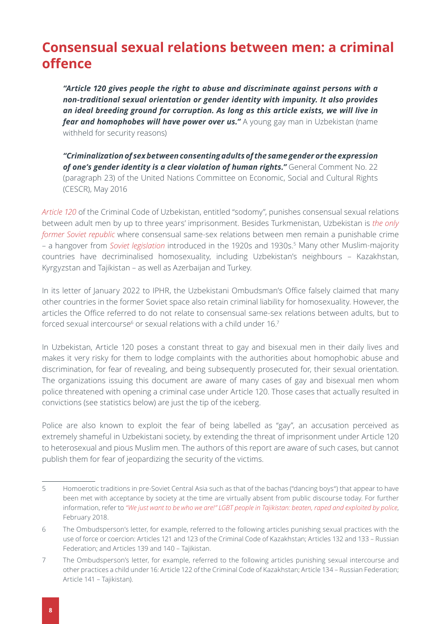#### <span id="page-7-0"></span>**Consensual sexual relations between men: a criminal offence**

*"Article 120 gives people the right to abuse and discriminate against persons with a non-traditional sexual orientation or gender identity with impunity. It also provides an ideal breeding ground for corruption. As long as this article exists, we will live in fear and homophobes will have power over us."* A young gay man in Uzbekistan (name withheld for security reasons)

*"Criminalization of sex between consenting adults of the same gender or the expression of one's gender identity is a clear violation of human rights."* General Comment No. 22 (paragraph 23) of the United Nations Committee on Economic, Social and Cultural Rights (CESCR), May 2016

*[Article 120](https://www.legislationline.org/documents/action/popup/id/8931)* of the Criminal Code of Uzbekistan, entitled "sodomy", punishes consensual sexual relations between adult men by up to three years' imprisonment. Besides Turkmenistan, Uzbekistan is *[the only](https://www.humandignitytrust.org/lgbt-the-law/map-of-criminalisation/)  [former Soviet republic](https://www.humandignitytrust.org/lgbt-the-law/map-of-criminalisation/)* where consensual same-sex relations between men remain a punishable crime – a hangover from *[Soviet legislation](https://cyberleninka.ru/article/n/istoriya-razvitiya-zakonodatelstva-respubliki-tadzhikistan-ob-otvetstvennosti-za-nasilstvennye-deystviya-seksualnogo-haraktera)* introduced in the 1920s and 1930s.5 Many other Muslim-majority countries have decriminalised homosexuality, including Uzbekistan's neighbours – Kazakhstan, Kyrgyzstan and Tajikistan – as well as Azerbaijan and Turkey.

In its letter of January 2022 to IPHR, the Uzbekistani Ombudsman's Office falsely claimed that many other countries in the former Soviet space also retain criminal liability for homosexuality. However, the articles the Office referred to do not relate to consensual same-sex relations between adults, but to forced sexual intercourse $^6$  or sexual relations with a child under 16.<sup>7</sup>

In Uzbekistan, Article 120 poses a constant threat to gay and bisexual men in their daily lives and makes it very risky for them to lodge complaints with the authorities about homophobic abuse and discrimination, for fear of revealing, and being subsequently prosecuted for, their sexual orientation. The organizations issuing this document are aware of many cases of gay and bisexual men whom police threatened with opening a criminal case under Article 120. Those cases that actually resulted in convictions (see statistics below) are just the tip of the iceberg.

Police are also known to exploit the fear of being labelled as "gay", an accusation perceived as extremely shameful in Uzbekistani society, by extending the threat of imprisonment under Article 120 to heterosexual and pious Muslim men. The authors of this report are aware of such cases, but cannot publish them for fear of jeopardizing the security of the victims.

<sup>5</sup> Homoerotic traditions in pre-Soviet Central Asia such as that of the bachas ("dancing boys") that appear to have been met with acceptance by society at the time are virtually absent from public discourse today. For further information, refer to *["We just want to be who we are!" LGBT people in Tajikistan: beaten, raped and exploited by police](https://tbinternet.ohchr.org/Treaties/CAT/Shared%20Documents/TJK/INT_CAT_CSS_TJK_30680_E.pdf)*, February 2018.

<sup>6</sup> The Ombudsperson's letter, for example, referred to the following articles punishing sexual practices with the use of force or coercion: Articles 121 and 123 of the Criminal Code of Kazakhstan; Articles 132 and 133 – Russian Federation; and Articles 139 and 140 – Tajikistan.

<sup>7</sup> The Ombudsperson's letter, for example, referred to the following articles punishing sexual intercourse and other practices а child under 16: Article 122 of the Criminal Code of Kazakhstan; Article 134 – Russian Federation; Article 141 – Tajikistan).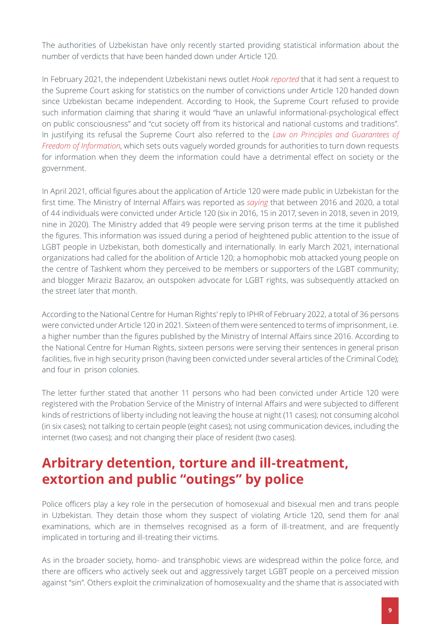The authorities of Uzbekistan have only recently started providing statistical information about the number of verdicts that have been handed down under Article 120.

In February 2021, the independent Uzbekistani news outlet *Hook [reported](https://t.me/hook_report/593)* that it had sent a request to the Supreme Court asking for statistics on the number of convictions under Article 120 handed down since Uzbekistan became independent. According to Hook, the Supreme Court refused to provide such information claiming that sharing it would "have an unlawful informational-psychological effect on public consciousness" and "cut society off from its historical and national customs and traditions". In justifying its refusal the Supreme Court also referred to the *[Law on Principles and Guarantees of](https://lex.uz/docs/52709 )  [Freedom of Information](https://lex.uz/docs/52709 )*, which sets outs vaguely worded grounds for authorities to turn down requests for information when they deem the information could have a detrimental effect on society or the government.

In April 2021, official figures about the application of Article 120 were made public in Uzbekistan for the first time. The Ministry of Internal Affairs was reported as *[saying](https://mediazona.ca/number/2021/04/22/men)* that between 2016 and 2020, a total of 44 individuals were convicted under Article 120 (six in 2016, 15 in 2017, seven in 2018, seven in 2019, nine in 2020). The Ministry added that 49 people were serving prison terms at the time it published the figures. This information was issued during a period of heightened public attention to the issue of LGBT people in Uzbekistan, both domestically and internationally. In early March 2021, international organizations had called for the abolition of Article 120; a homophobic mob attacked young people on the centre of Tashkent whom they perceived to be members or supporters of the LGBT community; and blogger Miraziz Bazarov, an outspoken advocate for LGBT rights, was subsequently attacked on the street later that month.

According to the National Centre for Human Rights' reply to IPHR of February 2022, a total of 36 persons were convicted under Article 120 in 2021. Sixteen of them were sentenced to terms of imprisonment, i.e. a higher number than the figures published by the Ministry of Internal Affairs since 2016. According to the National Centre for Human Rights, sixteen persons were serving their sentences in general prison facilities, five in high security prison (having been convicted under several articles of the Criminal Code); and four in prison colonies.

The letter further stated that another 11 persons who had been convicted under Article 120 were registered with the Probation Service of the Ministry of Internal Affairs and were subjected to different kinds of restrictions of liberty including not leaving the house at night (11 cases); not consuming alcohol (in six cases); not talking to certain people (eight cases); not using communication devices, including the internet (two cases); and not changing their place of resident (two cases).

#### **Arbitrary detention, torture and ill-treatment, extortion and public "outings" by police**

Police officers play a key role in the persecution of homosexual and bisexual men and trans people in Uzbekistan. They detain those whom they suspect of violating Article 120, send them for anal examinations, which are in themselves recognised as a form of ill-treatment, and are frequently implicated in torturing and ill-treating their victims.

As in the broader society, homo- and transphobic views are widespread within the police force, and there are officers who actively seek out and aggressively target LGBT people on a perceived mission against "sin". Others exploit the criminalization of homosexuality and the shame that is associated with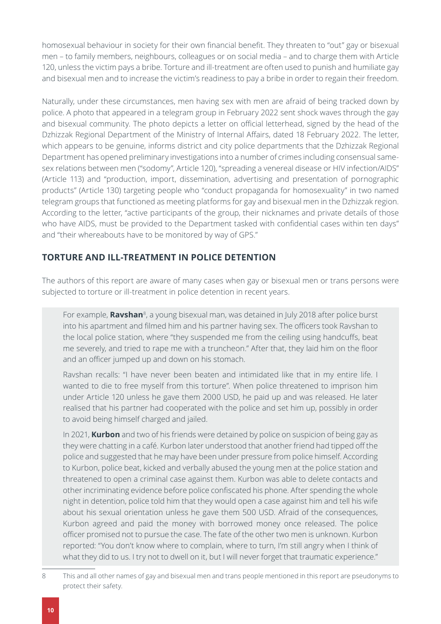homosexual behaviour in society for their own financial benefit. They threaten to "out" gay or bisexual men – to family members, neighbours, colleagues or on social media – and to charge them with Article 120, unless the victim pays a bribe. Torture and ill-treatment are often used to punish and humiliate gay and bisexual men and to increase the victim's readiness to pay a bribe in order to regain their freedom.

Naturally, under these circumstances, men having sex with men are afraid of being tracked down by police. A photo that appeared in a telegram group in February 2022 sent shock waves through the gay and bisexual community. The photo depicts a letter on official letterhead, signed by the head of the Dzhizzak Regional Department of the Ministry of Internal Affairs, dated 18 February 2022. The letter, which appears to be genuine, informs district and city police departments that the Dzhizzak Regional Department has opened preliminary investigations into a number of crimes including consensual samesex relations between men ("sodomy", Article 120), "spreading a venereal disease or HIV infection/AIDS" (Article 113) and "production, import, dissemination, advertising and presentation of pornographic products" (Article 130) targeting people who "conduct propaganda for homosexuality" in two named telegram groups that functioned as meeting platforms for gay and bisexual men in the Dzhizzak region. According to the letter, "active participants of the group, their nicknames and private details of those who have AIDS, must be provided to the Department tasked with confidential cases within ten days" and "their whereabouts have to be monitored by way of GPS."

#### **TORTURE AND ILL-TREATMENT IN POLICE DETENTION**

The authors of this report are aware of many cases when gay or bisexual men or trans persons were subjected to torture or ill-treatment in police detention in recent years.

For example, **Ravshan**8, a young bisexual man, was detained in July 2018 after police burst into his apartment and filmed him and his partner having sex. The officers took Ravshan to the local police station, where "they suspended me from the ceiling using handcuffs, beat me severely, and tried to rape me with a truncheon." After that, they laid him on the floor and an officer jumped up and down on his stomach.

Ravshan recalls: "I have never been beaten and intimidated like that in my entire life. I wanted to die to free myself from this torture". When police threatened to imprison him under Article 120 unless he gave them 2000 USD, he paid up and was released. He later realised that his partner had cooperated with the police and set him up, possibly in order to avoid being himself charged and jailed.

In 2021, **Kurbon** and two of his friends were detained by police on suspicion of being gay as they were chatting in a café. Kurbon later understood that another friend had tipped off the police and suggested that he may have been under pressure from police himself. According to Kurbon, police beat, kicked and verbally abused the young men at the police station and threatened to open a criminal case against them. Kurbon was able to delete contacts and other incriminating evidence before police confiscated his phone. After spending the whole night in detention, police told him that they would open a case against him and tell his wife about his sexual orientation unless he gave them 500 USD. Afraid of the consequences, Kurbon agreed and paid the money with borrowed money once released. The police officer promised not to pursue the case. The fate of the other two men is unknown. Kurbon reported: "You don't know where to complain, where to turn, I'm still angry when I think of what they did to us. I try not to dwell on it, but I will never forget that traumatic experience."

<sup>8</sup> This and all other names of gay and bisexual men and trans people mentioned in this report are pseudonyms to protect their safety.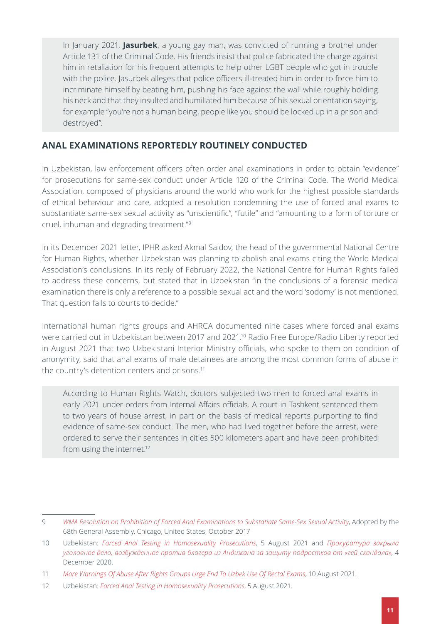In January 2021, **Jasurbek**, a young gay man, was convicted of running a brothel under Article 131 of the Criminal Code. His friends insist that police fabricated the charge against him in retaliation for his frequent attempts to help other LGBT people who got in trouble with the police. Jasurbek alleges that police officers ill-treated him in order to force him to incriminate himself by beating him, pushing his face against the wall while roughly holding his neck and that they insulted and humiliated him because of his sexual orientation saying, for example "you're not a human being, people like you should be locked up in a prison and destroyed".

#### **ANAL EXAMINATIONS REPORTEDLY ROUTINELY CONDUCTED**

In Uzbekistan, law enforcement officers often order anal examinations in order to obtain "evidence" for prosecutions for same-sex conduct under Article 120 of the Criminal Code. The World Medical Association, composed of physicians around the world who work for the highest possible standards of ethical behaviour and care, adopted a resolution condemning the use of forced anal exams to substantiate same-sex sexual activity as "unscientific", "futile" and "amounting to a form of torture or cruel, inhuman and degrading treatment."<sup>9</sup>

In its December 2021 letter, IPHR asked Akmal Saidov, the head of the governmental National Centre for Human Rights, whether Uzbekistan was planning to abolish anal exams citing the World Medical Association's conclusions. In its reply of February 2022, the National Centre for Human Rights failed to address these concerns, but stated that in Uzbekistan "in the conclusions of a forensic medical examination there is only a reference to a possible sexual act and the word 'sodomy' is not mentioned. That question falls to courts to decide."

International human rights groups and AHRCA documented nine cases where forced anal exams were carried out in Uzbekistan between 2017 and 2021.10 Radio Free Europe/Radio Liberty reported in August 2021 that two Uzbekistani Interior Ministry officials, who spoke to them on condition of anonymity, said that anal exams of male detainees are among the most common forms of abuse in the country's detention centers and prisons.11

According to Human Rights Watch, doctors subjected two men to forced anal exams in early 2021 under orders from Internal Affairs officials. A court in Tashkent sentenced them to two years of house arrest, in part on the basis of medical reports purporting to find evidence of same-sex conduct. The men, who had lived together before the arrest, were ordered to serve their sentences in cities 500 kilometers apart and have been prohibited from using the internet.<sup>12</sup>

<sup>9</sup> *[WMA Resolution on Prohibition of Forced Anal Examinations to Substatiate Same-Sex Sexual Activity](https://www.wma.net/policies-post/wma-resolution-on-prohibition-of-forced-anal-examinations-to-substantiate-same-sex-sexual-activity/)*, Adopted by the 68th General Assembly, Chicago, United States, October 2017

<sup>10</sup> Uzbekistan: *[Forced Anal Testing in Homosexuality Prosecutions](https://www.hrw.org/news/2021/08/05/uzbekistan-forced-anal-testing-homosexuality-prosecutions%20and)*, 5 August 2021 and *[Прокуратура закрыла](http://m.asiaterra.info/news/prokuratura-zakryla-ugolovnoe-delo-vozbuzhdennoe-protiv-blogera-iz-andizhana-za-zashchitu-podrostkov-ot-gej-skandala)  [уголовное дело, возбужденное против блогера из Андижана за защиту подростков от «гей-скандала»](http://m.asiaterra.info/news/prokuratura-zakryla-ugolovnoe-delo-vozbuzhdennoe-protiv-blogera-iz-andizhana-za-zashchitu-podrostkov-ot-gej-skandala)*, 4 December 2020.

<sup>11</sup> *[More Warnings Of Abuse After Rights Groups Urge End To Uzbek Use Of Rectal Exams](https://www.rferl.org/a/uzbekistan-rectal-probes-abuse/31403270.html)*, 10 August 2021.

<sup>12</sup> Uzbekistan: *[Forced Anal Testing in Homosexuality Prosecutions](https://www.hrw.org/news/2021/08/05/uzbekistan-forced-anal-testing-homosexuality-prosecutions)*, 5 August 2021.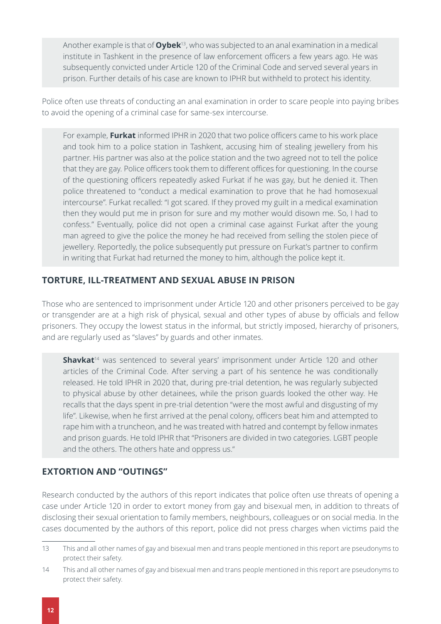Another example is that of **Oybek**13, who was subjected to an anal examination in a medical institute in Tashkent in the presence of law enforcement officers a few years ago. He was subsequently convicted under Article 120 of the Criminal Code and served several years in prison. Further details of his case are known to IPHR but withheld to protect his identity.

Police often use threats of conducting an anal examination in order to scare people into paying bribes to avoid the opening of a criminal case for same-sex intercourse.

For example, **Furkat** informed IPHR in 2020 that two police officers came to his work place and took him to a police station in Tashkent, accusing him of stealing jewellery from his partner. His partner was also at the police station and the two agreed not to tell the police that they are gay. Police officers took them to different offices for questioning. In the course of the questioning officers repeatedly asked Furkat if he was gay, but he denied it. Then police threatened to "conduct a medical examination to prove that he had homosexual intercourse". Furkat recalled: "I got scared. If they proved my guilt in a medical examination then they would put me in prison for sure and my mother would disown me. So, I had to confess." Eventually, police did not open a criminal case against Furkat after the young man agreed to give the police the money he had received from selling the stolen piece of jewellery. Reportedly, the police subsequently put pressure on Furkat's partner to confirm in writing that Furkat had returned the money to him, although the police kept it.

#### **TORTURE, ILL-TREATMENT AND SEXUAL ABUSE IN PRISON**

Those who are sentenced to imprisonment under Article 120 and other prisoners perceived to be gay or transgender are at a high risk of physical, sexual and other types of abuse by officials and fellow prisoners. They occupy the lowest status in the informal, but strictly imposed, hierarchy of prisoners, and are regularly used as "slaves" by guards and other inmates.

**Shavkat**<sup>14</sup> was sentenced to several years' imprisonment under Article 120 and other articles of the Criminal Code. After serving a part of his sentence he was conditionally released. He told IPHR in 2020 that, during pre-trial detention, he was regularly subjected to physical abuse by other detainees, while the prison guards looked the other way. He recalls that the days spent in pre-trial detention "were the most awful and disgusting of my life". Likewise, when he first arrived at the penal colony, officers beat him and attempted to rape him with a truncheon, and he was treated with hatred and contempt by fellow inmates and prison guards. He told IPHR that "Prisoners are divided in two categories. LGBT people and the others. The others hate and oppress us."

#### **EXTORTION AND "OUTINGS"**

Research conducted by the authors of this report indicates that police often use threats of opening a case under Article 120 in order to extort money from gay and bisexual men, in addition to threats of disclosing their sexual orientation to family members, neighbours, colleagues or on social media. In the cases documented by the authors of this report, police did not press charges when victims paid the

<sup>13</sup> This and all other names of gay and bisexual men and trans people mentioned in this report are pseudonyms to protect their safety.

<sup>14</sup> This and all other names of gay and bisexual men and trans people mentioned in this report are pseudonyms to protect their safety.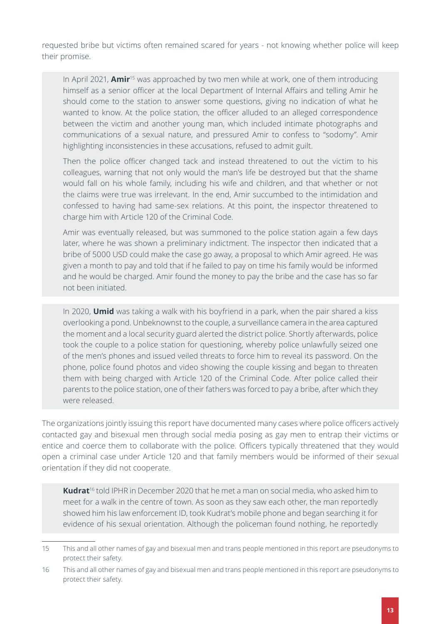requested bribe but victims often remained scared for years - not knowing whether police will keep their promise.

In April 2021, **Amir**15 was approached by two men while at work, one of them introducing himself as a senior officer at the local Department of Internal Affairs and telling Amir he should come to the station to answer some questions, giving no indication of what he wanted to know. At the police station, the officer alluded to an alleged correspondence between the victim and another young man, which included intimate photographs and communications of a sexual nature, and pressured Amir to confess to "sodomy". Amir highlighting inconsistencies in these accusations, refused to admit guilt.

Then the police officer changed tack and instead threatened to out the victim to his colleagues, warning that not only would the man's life be destroyed but that the shame would fall on his whole family, including his wife and children, and that whether or not the claims were true was irrelevant. In the end, Amir succumbed to the intimidation and confessed to having had same-sex relations. At this point, the inspector threatened to charge him with Article 120 of the Criminal Code.

Amir was eventually released, but was summoned to the police station again a few days later, where he was shown a preliminary indictment. The inspector then indicated that a bribe of 5000 USD could make the case go away, a proposal to which Amir agreed. He was given a month to pay and told that if he failed to pay on time his family would be informed and he would be charged. Amir found the money to pay the bribe and the case has so far not been initiated.

In 2020, **Umid** was taking a walk with his boyfriend in a park, when the pair shared a kiss overlooking a pond. Unbeknownst to the couple, a surveillance camera in the area captured the moment and a local security guard alerted the district police. Shortly afterwards, police took the couple to a police station for questioning, whereby police unlawfully seized one of the men's phones and issued veiled threats to force him to reveal its password. On the phone, police found photos and video showing the couple kissing and began to threaten them with being charged with Article 120 of the Criminal Code. After police called their parents to the police station, one of their fathers was forced to pay a bribe, after which they were released.

The organizations jointly issuing this report have documented many cases where police officers actively contacted gay and bisexual men through social media posing as gay men to entrap their victims or entice and coerce them to collaborate with the police. Officers typically threatened that they would open a criminal case under Article 120 and that family members would be informed of their sexual orientation if they did not cooperate.

**Kudrat**16 told IPHR in December 2020 that he met a man on social media, who asked him to meet for a walk in the centre of town. As soon as they saw each other, the man reportedly showed him his law enforcement ID, took Kudrat's mobile phone and began searching it for evidence of his sexual orientation. Although the policeman found nothing, he reportedly

<sup>15</sup> This and all other names of gay and bisexual men and trans people mentioned in this report are pseudonyms to protect their safety.

<sup>16</sup> This and all other names of gay and bisexual men and trans people mentioned in this report are pseudonyms to protect their safety.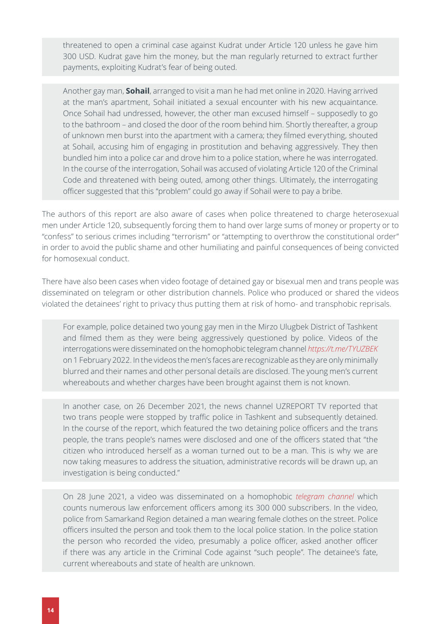threatened to open a criminal case against Kudrat under Article 120 unless he gave him 300 USD. Kudrat gave him the money, but the man regularly returned to extract further payments, exploiting Kudrat's fear of being outed.

Another gay man, **Sohail**, arranged to visit a man he had met online in 2020. Having arrived at the man's apartment, Sohail initiated a sexual encounter with his new acquaintance. Once Sohail had undressed, however, the other man excused himself – supposedly to go to the bathroom – and closed the door of the room behind him. Shortly thereafter, a group of unknown men burst into the apartment with a camera; they filmed everything, shouted at Sohail, accusing him of engaging in prostitution and behaving aggressively. They then bundled him into a police car and drove him to a police station, where he was interrogated. In the course of the interrogation, Sohail was accused of violating Article 120 of the Criminal Code and threatened with being outed, among other things. Ultimately, the interrogating officer suggested that this "problem" could go away if Sohail were to pay a bribe.

The authors of this report are also aware of cases when police threatened to charge heterosexual men under Article 120, subsequently forcing them to hand over large sums of money or property or to "confess" to serious crimes including "terrorism" or "attempting to overthrow the constitutional order" in order to avoid the public shame and other humiliating and painful consequences of being convicted for homosexual conduct.

There have also been cases when video footage of detained gay or bisexual men and trans people was disseminated on telegram or other distribution channels. Police who produced or shared the videos violated the detainees' right to privacy thus putting them at risk of homo- and transphobic reprisals.

For example, police detained two young gay men in the Mirzo Ulugbek District of Tashkent and filmed them as they were being aggressively questioned by police. Videos of the interrogations were disseminated on the homophobic telegram channel *<https://t.me/TYUZBEK>* on 1 February 2022. In the videos the men's faces are recognizable as they are only minimally blurred and their names and other personal details are disclosed. The young men's current whereabouts and whether charges have been brought against them is not known.

In another case, on 26 December 2021, the news channel UZREPORT TV reported that two trans people were stopped by traffic police in Tashkent and subsequently detained. In the course of the report, which featured the two detaining police officers and the trans people, the trans people's names were disclosed and one of the officers stated that "the citizen who introduced herself as a woman turned out to be a man. This is why we are now taking measures to address the situation, administrative records will be drawn up, an investigation is being conducted."

On 28 June 2021, a video was disseminated on a homophobic *[telegram channel](https://t.me/MILITSIYA_UZB )* which counts numerous law enforcement officers among its 300 000 subscribers. In the video, police from Samarkand Region detained a man wearing female clothes on the street. Police officers insulted the person and took them to the local police station. In the police station the person who recorded the video, presumably a police officer, asked another officer if there was any article in the Criminal Code against "such people". The detainee's fate, current whereabouts and state of health are unknown.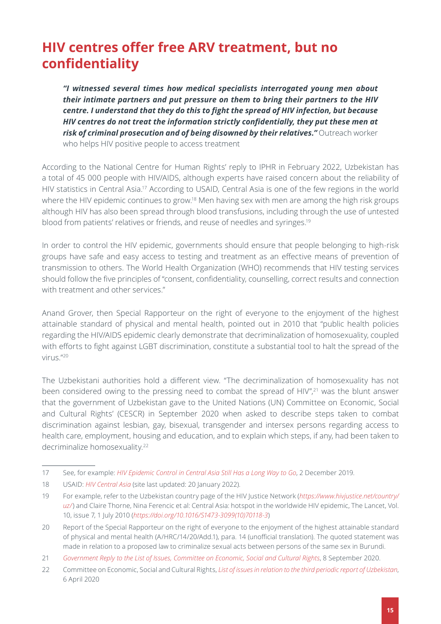#### <span id="page-14-0"></span>**HIV centres offer free ARV treatment, but no confidentiality**

*"I witnessed several times how medical specialists interrogated young men about their intimate partners and put pressure on them to bring their partners to the HIV centre. I understand that they do this to fight the spread of HIV infection, but because HIV centres do not treat the information strictly confidentially, they put these men at risk of criminal prosecution and of being disowned by their relatives."* Outreach worker who helps HIV positive people to access treatment

According to the National Centre for Human Rights' reply to IPHR in February 2022, Uzbekistan has a total of 45 000 people with HIV/AIDS, although experts have raised concern about the reliability of HIV statistics in Central Asia.17 According to USAID, Central Asia is one of the few regions in the world where the HIV epidemic continues to grow.<sup>18</sup> Men having sex with men are among the high risk groups although HIV has also been spread through blood transfusions, including through the use of untested blood from patients' relatives or friends, and reuse of needles and syringes.19

In order to control the HIV epidemic, governments should ensure that people belonging to high-risk groups have safe and easy access to testing and treatment as an effective means of prevention of transmission to others. The World Health Organization (WHO) recommends that HIV testing services should follow the five principles of "consent, confidentiality, counselling, correct results and connection with treatment and other services."

Anand Grover, then Special Rapporteur on the right of everyone to the enjoyment of the highest attainable standard of physical and mental health, pointed out in 2010 that "public health policies regarding the HIV/AIDS epidemic clearly demonstrate that decriminalization of homosexuality, coupled with efforts to fight against LGBT discrimination, constitute a substantial tool to halt the spread of the virus."20

The Uzbekistani authorities hold a different view. "The decriminalization of homosexuality has not been considered owing to the pressing need to combat the spread of HIV",<sup>21</sup> was the blunt answer that the government of Uzbekistan gave to the United Nations (UN) Committee on Economic, Social and Cultural Rights' (CESCR) in September 2020 when asked to describe steps taken to combat discrimination against lesbian, gay, bisexual, transgender and intersex persons regarding access to health care, employment, housing and education, and to explain which steps, if any, had been taken to decriminalize homosexuality.<sup>22</sup>

<sup>17</sup> See, for example: *[HIV Epidemic Control in Central Asia Still Has a Long Way to Go](https://www.un.org/en/un-chronicle/hiv-epidemic-control-central-asia-still-has-long-way-go)*, 2 December 2019.

<sup>18</sup> USAID: *[HIV Central Asia](https://www.usaid.gov/central-asia-regional/fact-sheets/hiv-central-asia)* (site last updated: 20 January 2022).

<sup>19</sup> For example, refer to the Uzbekistan country page of the HIV Justice Network (*[https://www.hivjustice.net/country/](https://www.hivjustice.net/country/uz/) [uz/](https://www.hivjustice.net/country/uz/)*) and Claire Thorne, Nina Ferencic et al: Central Asia: hotspot in the worldwide HIV epidemic, The Lancet, Vol. 10, issue 7, 1 July 2010 (*[https://doi.org/10.1016/S1473-3099\(10\)70118-3](https://doi.org/10.1016/S1473-3099(10)70118-3)*)

<sup>20</sup> Report of the Special Rapporteur on the right of everyone to the enjoyment of the highest attainable standard of physical and mental health (A/HRC/14/20/Add.1), para. 14 (unofficial translation). The quoted statement was made in relation to a proposed law to criminalize sexual acts between persons of the same sex in Burundi.

<sup>21</sup> *[Government Reply to the List of Issues, Committee on Economic, Social and Cultural Rights](https://tbinternet.ohchr.org/_layouts/15/treatybodyexternal/Download.aspx?symbolno=E%2fC.12%2fUZB%2fRQ%2f3&Lang=en)*, 8 September 2020.

<sup>22</sup> Committee on Economic, Social and Cultural Rights, *[List of issues in relation to the third periodic report of Uzbekistan](https://tbinternet.ohchr.org/_layouts/15/treatybodyexternal/Download.aspx?symbolno=E%2fC.12%2fUZB%2fQ%2f3&Lang=en)*, 6 April 2020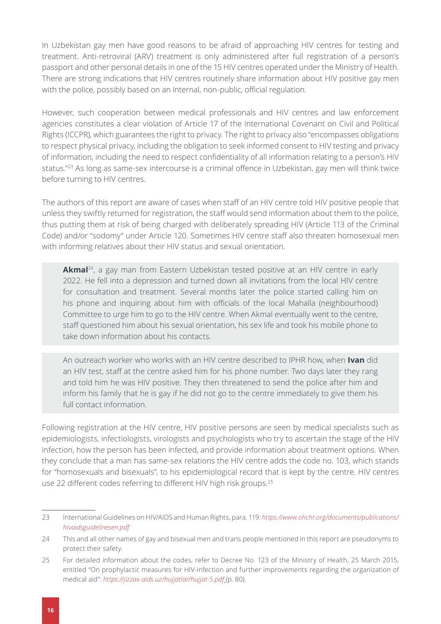In Uzbekistan gay men have good reasons to be afraid of approaching HIV centres for testing and treatment. Anti-retroviral (ARV) treatment is only administered after full registration of a person's passport and other personal details in one of the 15 HIV centres operated under the Ministry of Health. There are strong indications that HIV centres routinely share information about HIV positive gay men with the police, possibly based on an internal, non-public, official regulation.

However, such cooperation between medical professionals and HIV centres and law enforcement agencies constitutes a clear violation of Article 17 of the International Covenant on Civil and Political Rights (ICCPR), which guarantees the right to privacy. The right to privacy also "encompasses obligations to respect physical privacy, including the obligation to seek informed consent to HIV testing and privacy of information, including the need to respect confidentiality of all information relating to a person's HIV status."23 As long as same-sex intercourse is a criminal offence in Uzbekistan, gay men will think twice before turning to HIV centres.

The authors of this report are aware of cases when staff of an HIV centre told HIV positive people that unless they swiftly returned for registration, the staff would send information about them to the police, thus putting them at risk of being charged with deliberately spreading HIV (Article 113 of the Criminal Code) and/or "sodomy" under Article 120. Sometimes HIV centre staff also threaten homosexual men with informing relatives about their HIV status and sexual orientation.

**Akmal**<sup>24</sup>, a gay man from Eastern Uzbekistan tested positive at an HIV centre in early 2022. He fell into a depression and turned down all invitations from the local HIV centre for consultation and treatment. Several months later the police started calling him on his phone and inquiring about him with officials of the local Mahalla (neighbourhood) Committee to urge him to go to the HIV centre. When Akmal eventually went to the centre, staff questioned him about his sexual orientation, his sex life and took his mobile phone to take down information about his contacts.

An outreach worker who works with an HIV centre described to IPHR how, when **Ivan** did an HIV test, staff at the centre asked him for his phone number. Two days later they rang and told him he was HIV positive. They then threatened to send the police after him and inform his family that he is gay if he did not go to the centre immediately to give them his full contact information.

Following registration at the HIV centre, HIV positive persons are seen by medical specialists such as epidemiologists, infectiologists, virologists and psychologists who try to ascertain the stage of the HIV infection, how the person has been infected, and provide information about treatment options. When they conclude that a man has same-sex relations the HIV centre adds the code no. 103, which stands for "homosexuals and bisexuals", to his epidemiological record that is kept by the centre. HIV centres use 22 different codes referring to different HIV high risk groups.<sup>25</sup>

<sup>23</sup> International Guidelines on HIV/AIDS and Human Rights, para. 119: *[https://www.ohchr.org/documents/publications/](https://www.ohchr.org/documents/publications/hivaidsguidelinesen.pdf) [hivaidsguidelinesen.pdf](https://www.ohchr.org/documents/publications/hivaidsguidelinesen.pdf)*

<sup>24</sup> This and all other names of gay and bisexual men and trans people mentioned in this report are pseudonyms to protect their safety.

<sup>25</sup> For detailed information about the codes, refer to Decree No. 123 of the Ministry of Health, 25 March 2015, entitled "On prophylactic measures for HIV-infection and further improvements regarding the organization of medical aid": *<https://jizzax-aids.uz/hujjatlar/hujjat-5.pdf>* (p. 80).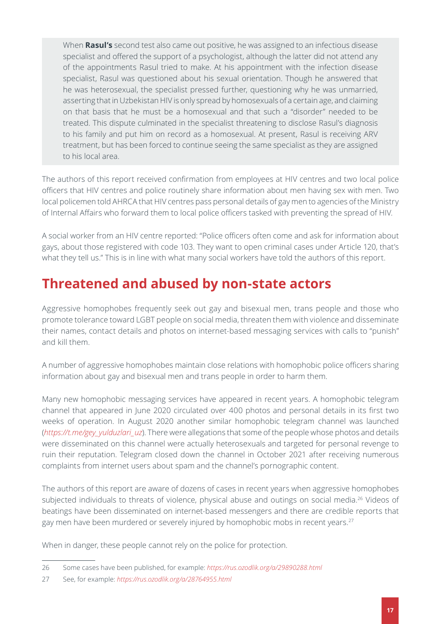When **Rasul's** second test also came out positive, he was assigned to an infectious disease specialist and offered the support of a psychologist, although the latter did not attend any of the appointments Rasul tried to make. At his appointment with the infection disease specialist, Rasul was questioned about his sexual orientation. Though he answered that he was heterosexual, the specialist pressed further, questioning why he was unmarried, asserting that in Uzbekistan HIV is only spread by homosexuals of a certain age, and claiming on that basis that he must be a homosexual and that such a "disorder" needed to be treated. This dispute culminated in the specialist threatening to disclose Rasul's diagnosis to his family and put him on record as a homosexual. At present, Rasul is receiving ARV treatment, but has been forced to continue seeing the same specialist as they are assigned to his local area.

The authors of this report received confirmation from employees at HIV centres and two local police officers that HIV centres and police routinely share information about men having sex with men. Two local policemen told AHRCA that HIV centres pass personal details of gay men to agencies of the Ministry of Internal Affairs who forward them to local police officers tasked with preventing the spread of HIV.

A social worker from an HIV centre reported: "Police officers often come and ask for information about gays, about those registered with code 103. They want to open criminal cases under Article 120, that's what they tell us." This is in line with what many social workers have told the authors of this report.

#### <span id="page-16-0"></span>**Threatened and abused by non-state actors**

Aggressive homophobes frequently seek out gay and bisexual men, trans people and those who promote tolerance toward LGBT people on social media, threaten them with violence and disseminate their names, contact details and photos on internet-based messaging services with calls to "punish" and kill them.

A number of aggressive homophobes maintain close relations with homophobic police officers sharing information about gay and bisexual men and trans people in order to harm them.

Many new homophobic messaging services have appeared in recent years. A homophobic telegram channel that appeared in June 2020 circulated over 400 photos and personal details in its first two weeks of operation. In August 2020 another similar homophobic telegram channel was launched (*[https://t.me/gey\\_yulduzlari\\_uz](https://t.me/gey_yulduzlari_uz)*). There were allegations that some of the people whose photos and details were disseminated on this channel were actually heterosexuals and targeted for personal revenge to ruin their reputation. Telegram closed down the channel in October 2021 after receiving numerous complaints from internet users about spam and the channel's pornographic content.

The authors of this report are aware of dozens of cases in recent years when aggressive homophobes subjected individuals to threats of violence, physical abuse and outings on social media.<sup>26</sup> Videos of beatings have been disseminated on internet-based messengers and there are credible reports that gay men have been murdered or severely injured by homophobic mobs in recent years.<sup>27</sup>

When in danger, these people cannot rely on the police for protection.

<sup>26</sup> Some cases have been published, for example: *<https://rus.ozodlik.org/a/29890288.html>*

<sup>27</sup> See, for example: *<https://rus.ozodlik.org/a/28764955.html>*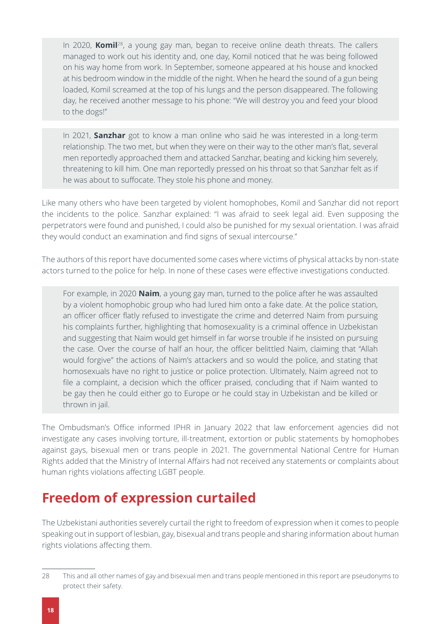In 2020, **Komil**28, a young gay man, began to receive online death threats. The callers managed to work out his identity and, one day, Komil noticed that he was being followed on his way home from work. In September, someone appeared at his house and knocked at his bedroom window in the middle of the night. When he heard the sound of a gun being loaded, Komil screamed at the top of his lungs and the person disappeared. The following day, he received another message to his phone: "We will destroy you and feed your blood to the dogs!"

In 2021, **Sanzhar** got to know a man online who said he was interested in a long-term relationship. The two met, but when they were on their way to the other man's flat, several men reportedly approached them and attacked Sanzhar, beating and kicking him severely, threatening to kill him. One man reportedly pressed on his throat so that Sanzhar felt as if he was about to suffocate. They stole his phone and money.

Like many others who have been targeted by violent homophobes, Komil and Sanzhar did not report the incidents to the police. Sanzhar explained: "I was afraid to seek legal aid. Even supposing the perpetrators were found and punished, I could also be punished for my sexual orientation. I was afraid they would conduct an examination and find signs of sexual intercourse."

The authors of this report have documented some cases where victims of physical attacks by non-state actors turned to the police for help. In none of these cases were effective investigations conducted.

For example, in 2020 **Naim**, a young gay man, turned to the police after he was assaulted by a violent homophobic group who had lured him onto a fake date. At the police station, an officer officer flatly refused to investigate the crime and deterred Naim from pursuing his complaints further, highlighting that homosexuality is a criminal offence in Uzbekistan and suggesting that Naim would get himself in far worse trouble if he insisted on pursuing the case. Over the course of half an hour, the officer belittled Naim, claiming that "Allah would forgive" the actions of Naim's attackers and so would the police, and stating that homosexuals have no right to justice or police protection. Ultimately, Naim agreed not to file a complaint, a decision which the officer praised, concluding that if Naim wanted to be gay then he could either go to Europe or he could stay in Uzbekistan and be killed or thrown in jail.

The Ombudsman's Office informed IPHR in January 2022 that law enforcement agencies did not investigate any cases involving torture, ill-treatment, extortion or public statements by homophobes against gays, bisexual men or trans people in 2021. The governmental National Centre for Human Rights added that the Ministry of Internal Affairs had not received any statements or complaints about human rights violations affecting LGBT people.

#### <span id="page-17-0"></span>**Freedom of expression curtailed**

The Uzbekistani authorities severely curtail the right to freedom of expression when it comes to people speaking out in support of lesbian, gay, bisexual and trans people and sharing information about human rights violations affecting them.

<sup>28</sup> This and all other names of gay and bisexual men and trans people mentioned in this report are pseudonyms to protect their safety.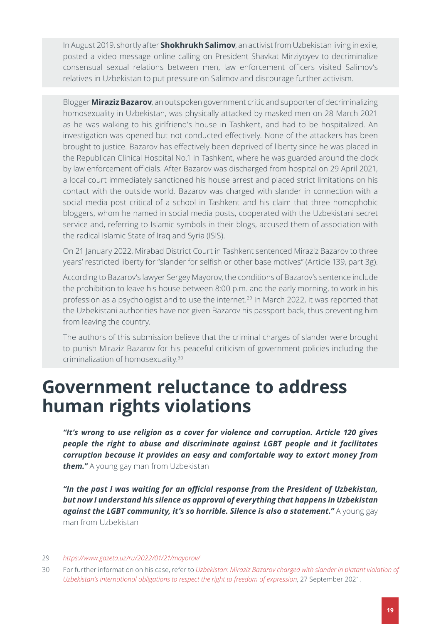In August 2019, shortly after **Shokhrukh Salimov**, an activist from Uzbekistan living in exile, posted a video message online calling on President Shavkat Mirziyoyev to decriminalize consensual sexual relations between men, law enforcement officers visited Salimov's relatives in Uzbekistan to put pressure on Salimov and discourage further activism.

Blogger **Miraziz Bazarov**, an outspoken government critic and supporter of decriminalizing homosexuality in Uzbekistan, was physically attacked by masked men on 28 March 2021 as he was walking to his girlfriend's house in Tashkent, and had to be hospitalized. An investigation was opened but not conducted effectively. None of the attackers has been brought to justice. Bazarov has effectively been deprived of liberty since he was placed in the Republican Clinical Hospital No.1 in Tashkent, where he was guarded around the clock by law enforcement officials. After Bazarov was discharged from hospital on 29 April 2021, a local court immediately sanctioned his house arrest and placed strict limitations on his contact with the outside world. Bazarov was charged with slander in connection with a social media post critical of a school in Tashkent and his claim that three homophobic bloggers, whom he named in social media posts, cooperated with the Uzbekistani secret service and, referring to Islamic symbols in their blogs, accused them of association with the radical Islamic State of Iraq and Syria (ISIS).

On 21 January 2022, Mirabad District Court in Tashkent sentenced Miraziz Bazarov to three years' restricted liberty for "slander for selfish or other base motives" (Article 139, part 3g).

According to Bazarov's lawyer Sergey Mayorov, the conditions of Bazarov's sentence include the prohibition to leave his house between 8:00 p.m. and the early morning, to work in his profession as a psychologist and to use the internet.29 In March 2022, it was reported that the Uzbekistani authorities have not given Bazarov his passport back, thus preventing him from leaving the country.

Тhe authors of this submission believe that the criminal charges of slander were brought to punish Miraziz Bazarov for his peaceful criticism of government policies including the criminalization of homosexuality.30

## <span id="page-18-0"></span>**Government reluctance to address human rights violations**

*"It's wrong to use religion as a cover for violence and corruption. Article 120 gives people the right to abuse and discriminate against LGBT people and it facilitates corruption because it provides an easy and comfortable way to extort money from them."* A young gay man from Uzbekistan

*"In the past I was waiting for an official response from the President of Uzbekistan, but now I understand his silence as approval of everything that happens in Uzbekistan against the LGBT community, it's so horrible. Silence is also a statement."* A young gay man from Uzbekistan

<sup>29</sup> *<https://www.gazeta.uz/ru/2022/01/21/mayorov/>*

<sup>30</sup> For further information on his case, refer to *[Uzbekistan: Miraziz Bazarov charged with slander in blatant violation of](https://www.iphronline.org/uzbekistan-miraziz-bazarov-slander.html)  [Uzbekistan's international obligations to respect the right to freedom of expression](https://www.iphronline.org/uzbekistan-miraziz-bazarov-slander.html)*, 27 September 2021.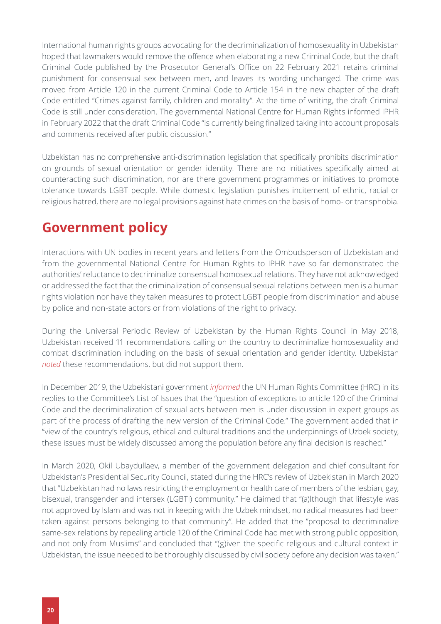International human rights groups advocating for the decriminalization of homosexuality in Uzbekistan hoped that lawmakers would remove the offence when elaborating a new Criminal Code, but the draft Criminal Code published by the Prosecutor General's Office on 22 February 2021 retains criminal punishment for consensual sex between men, and leaves its wording unchanged. The crime was moved from Article 120 in the current Criminal Code to Article 154 in the new chapter of the draft Code entitled "Crimes against family, children and morality". At the time of writing, the draft Criminal Code is still under consideration. The governmental National Centre for Human Rights informed IPHR in February 2022 that the draft Criminal Code "is currently being finalized taking into account proposals and comments received after public discussion."

Uzbekistan has no comprehensive anti-discrimination legislation that specifically prohibits discrimination on grounds of sexual orientation or gender identity. There are no initiatives specifically aimed at counteracting such discrimination, nor are there government programmes or initiatives to promote tolerance towards LGBT people. While domestic legislation punishes incitement of ethnic, racial or religious hatred, there are no legal provisions against hate crimes on the basis of homo- or transphobia.

#### <span id="page-19-0"></span>**Government policy**

Interactions with UN bodies in recent years and letters from the Ombudsperson of Uzbekistan and from the governmental National Centre for Human Rights to IPHR have so far demonstrated the authorities' reluctance to decriminalize consensual homosexual relations. They have not acknowledged or addressed the fact that the criminalization of consensual sexual relations between men is a human rights violation nor have they taken measures to protect LGBT people from discrimination and abuse by police and non-state actors or from violations of the right to privacy.

During the Universal Periodic Review of Uzbekistan by the Human Rights Council in May 2018, Uzbekistan received 11 recommendations calling on the country to decriminalize homosexuality and combat discrimination including on the basis of sexual orientation and gender identity. Uzbekistan *[noted](https://www.upr-info.org/sites/default/files/document/uzbekistan/sesion_30_-_mayo_2018/uzbekistan_2rp.pdf )* these recommendations, but did not support them.

In December 2019, the Uzbekistani government *[informed](https://tbinternet.ohchr.org/_layouts/15/treatybodyexternal/Download.aspx?symbolno=CCPR%2fC%2fUZB%2fRQ%2f5&Lang=en )* the UN Human Rights Committee (HRC) in its replies to the Committee's List of Issues that the "question of exceptions to article 120 of the Criminal Code and the decriminalization of sexual acts between men is under discussion in expert groups as part of the process of drafting the new version of the Criminal Code." The government added that in "view of the country's religious, ethical and cultural traditions and the underpinnings of Uzbek society, these issues must be widely discussed among the population before any final decision is reached."

In March 2020, Okil Ubaydullaev, a member of the government delegation and chief consultant for Uzbekistan's Presidential Security Council, stated during the HRC's review of Uzbekistan in March 2020 that "Uzbekistan had no laws restricting the employment or health care of members of the lesbian, gay, bisexual, transgender and intersex (LGBTI) community." He claimed that "(a)lthough that lifestyle was not approved by Islam and was not in keeping with the Uzbek mindset, no radical measures had been taken against persons belonging to that community". He added that the "proposal to decriminalize same-sex relations by repealing article 120 of the Criminal Code had met with strong public opposition, and not only from Muslims" and concluded that "(g)iven the specific religious and cultural context in Uzbekistan, the issue needed to be thoroughly discussed by civil society before any decision was taken."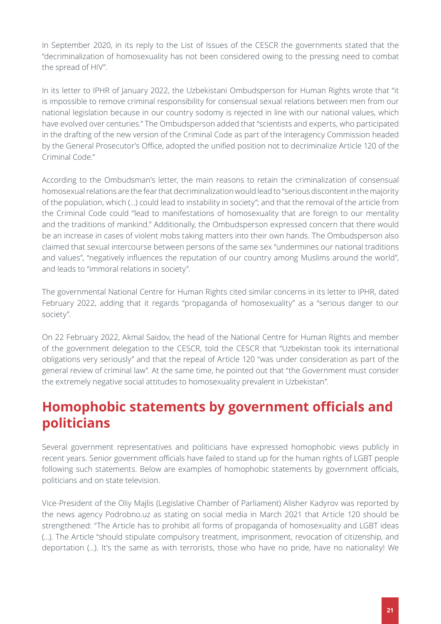In September 2020, in its reply to the List of Issues of the CESCR the governments stated that the "decriminalization of homosexuality has not been considered owing to the pressing need to combat the spread of HIV".

In its letter to IPHR of January 2022, the Uzbekistani Ombudsperson for Human Rights wrote that "it is impossible to remove criminal responsibility for consensual sexual relations between men from our national legislation because in our country sodomy is rejected in line with our national values, which have evolved over centuries." The Ombudsperson added that "scientists and experts, who participated in the drafting of the new version of the Criminal Code as part of the Interagency Commission headed by the General Prosecutor's Office, adopted the unified position not to decriminalize Article 120 of the Criminal Code."

According to the Ombudsman's letter, the main reasons to retain the criminalization of consensual homosexual relations are the fear that decriminalization would lead to "serious discontent in the majority of the population, which (…) could lead to instability in society"; and that the removal of the article from the Criminal Code could "lead to manifestations of homosexuality that are foreign to our mentality and the traditions of mankind." Additionally, the Ombudsperson expressed concern that there would be an increase in cases of violent mobs taking matters into their own hands. The Ombudsperson also claimed that sexual intercourse between persons of the same sex "undermines our national traditions and values", "negatively influences the reputation of our country among Muslims around the world", and leads to "immoral relations in society".

The governmental National Centre for Human Rights cited similar concerns in its letter to IPHR, dated February 2022, adding that it regards "propaganda of homosexuality" as a "serious danger to our society".

On 22 February 2022, Akmal Saidov, the head of the National Centre for Human Rights and member of the government delegation to the CESCR, told the CESCR that "Uzbekistan took its international obligations very seriously" and that the repeal of Article 120 "was under consideration as part of the general review of criminal law". At the same time, he pointed out that "the Government must consider the extremely negative social attitudes to homosexuality prevalent in Uzbekistan".

#### <span id="page-20-0"></span>**Homophobic statements by government officials and politicians**

Several government representatives and politicians have expressed homophobic views publicly in recent years. Senior government officials have failed to stand up for the human rights of LGBT people following such statements. Below are examples of homophobic statements by government officials, politicians and on state television.

Vice-President of the Oliy Majlis (Legislative Chamber of Parliament) Alisher Kadyrov was reported by the news аgency Podrobno.uz as stating on social media in March 2021 that Article 120 should be strengthened: "The Article has to prohibit all forms of propaganda of homosexuality and LGBT ideas (…). The Article "should stipulate compulsory treatment, imprisonment, revocation of citizenship, and deportation (…). It's the same as with terrorists, those who have no pride, have no nationality! We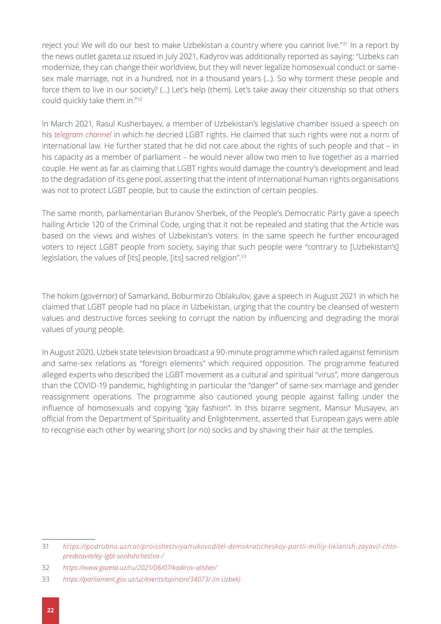reject you! We will do our best to make Uzbekistan a country where you cannot live."31 In a report by the news outlet gazeta.uz issued in July 2021, Kadyrov was additionally reported as saying: "Uzbeks can modernize, they can change their worldview, but they will never legalize homosexual conduct or samesex male marriage, not in a hundred, not in a thousand years (...). So why torment these people and force them to live in our society? (…) Let's help (them). Let's take away their citizenship so that others could quickly take them in."32

In March 2021, Rasul Kusherbayev, a member of Uzbekistan's legislative chamber issued a speech on his *[telegram channel](https://t.me/deputat_kusherbayev/1416)* in which he decried LGBT rights. He claimed that such rights were not a norm of international law. He further stated that he did not care about the rights of such people and that – in his capacity as a member of parliament – he would never allow two men to live together as a married couple. He went as far as claiming that LGBT rights would damage the country's development and lead to the degradation of its gene pool, asserting that the intent of international human rights organisations was not to protect LGBT people, but to cause the extinction of certain peoples.

The same month, parliamentarian Buranov Sherbek, of the People's Democratic Party gave a speech hailing Article 120 of the Criminal Code, urging that it not be repealed and stating that the Article was based on the views and wishes of Uzbekistan's voters. In the same speech he further encouraged voters to reject LGBT people from society, saying that such people were "contrary to [Uzbekistan's] legislation, the values of [its] people, [its] sacred religion".<sup>33</sup>

The hokim (governor) of Samarkand, Boburmirzo Oblakulov, gave a speech in August 2021 in which he claimed that LGBT people had no place in Uzbekistan, urging that the country be cleansed of western values and destructive forces seeking to corrupt the nation by influencing and degrading the moral values of young people.

In August 2020, Uzbek state television broadcast a 90-minute programme which railed against feminism and same-sex relations as "foreign elements" which required opposition. The programme featured alleged experts who described the LGBT movement as a cultural and spiritual "virus", more dangerous than the COVID-19 pandemic, highlighting in particular the "danger" of same-sex marriage and gender reassignment operations. The programme also cautioned young people against falling under the influence of homosexuals and copying "gay fashion". In this bizarre segment, Mansur Musayev, an official from the Department of Spirituality and Enlightenment, asserted that European gays were able to recognise each other by wearing short (or no) socks and by shaving their hair at the temples.

<sup>31</sup> *[https://podrobno.uz/cat/proisshestviya/rukovoditel-demokraticheskoy-partii-milliy-tiklanish-zayavil-chto](https://podrobno.uz/cat/proisshestviya/rukovoditel-demokraticheskoy-partii-milliy-tiklanish-zayavil-)[predstaviteley-lgbt-soobshchestva-/](https://podrobno.uz/cat/proisshestviya/rukovoditel-demokraticheskoy-partii-milliy-tiklanish-zayavil-)*

<sup>32</sup> *<https://www.gazeta.uz/ru/2021/06/07/kadirov-alisher/>*

<sup>33</sup> *[https://parliament.gov.uz/uz/events/opinion/34073/ \(in Uzbek\)](https://parliament.gov.uz/uz/events/opinion/34073/ (in Uzbek))*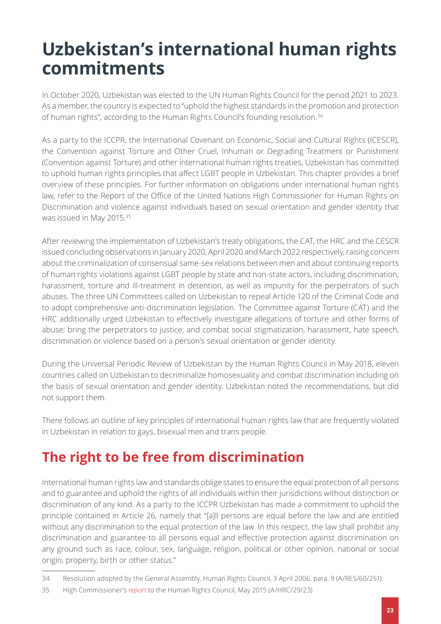## <span id="page-22-0"></span>**Uzbekistan's international human rights commitments**

In October 2020, Uzbekistan was elected to the UN Human Rights Council for the period 2021 to 2023. As a member, the country is expected to "uphold the highest standards in the promotion and protection of human rights", according to the Human Rights Council's founding resolution.<sup>34</sup>

As a party to the ICCPR, the International Covenant on Economic, Social and Cultural Rights (ICESCR), the Convention against Torture and Other Cruel, Inhuman or Degrading Treatment or Punishment (Convention against Torture) and other international human rights treaties, Uzbekistan has committed to uphold human rights principles that affect LGBT people in Uzbekistan. This chapter provides a brief overview of these principles. For further information on obligations under international human rights law, refer to the Report of the Office of the United Nations High Commissioner for Human Rights on Discrimination and violence against individuals based on sexual orientation and gender identity that was issued in May 2015.35

After reviewing the implementation of Uzbekistan's treaty obligations, the CAT, the HRC and the CESCR issued concluding observations in January 2020, April 2020 and March 2022 respectively, raising concern about the criminalization of consensual same-sex relations between men and about continuing reports of human rights violations against LGBT people by state and non-state actors, including discrimination, harassment, torture and ill-treatment in detention, as well as impunity for the perpetrators of such abuses. The three UN Committees called on Uzbekistan to repeal Article 120 of the Criminal Code and to adopt comprehensive anti-discrimination legislation. The Committee against Torture (CAT) and the HRC additionally urged Uzbekistan to effectively investigate allegations of torture and other forms of abuse; bring the perpetrators to justice; and combat social stigmatization, harassment, hate speech, discrimination or violence based on a person's sexual orientation or gender identity.

During the Universal Periodic Review of Uzbekistan by the Human Rights Council in May 2018, eleven countries called on Uzbekistan to decriminalize homosexuality and combat discrimination including on the basis of sexual orientation and gender identity. Uzbekistan noted the recommendations, but did not support them.

There follows an outline of key principles of international human rights law that are frequently violated in Uzbekistan in relation to gays, bisexual men and trans people.

### <span id="page-22-1"></span>**The right to be free from discrimination**

International human rights law and standards oblige states to ensure the equal protection of all persons and to guarantee and uphold the rights of all individuals within their jurisdictions without distinction or discrimination of any kind. As a party to the ICCPR Uzbekistan has mаde a commitment to uphold the principle contained in Article 26, namely that "[a]ll persons are equal before the law and are entitled without any discrimination to the equal protection of the law. In this respect, the law shall prohibit any discrimination and guarantee to all persons equal and effective protection against discrimination on any ground such as race, colour, sex, language, religion, political or other opinion, national or social origin, property, birth or other status."

<sup>34</sup> Resolution adopted by the General Assembly, Human Rights Council, 3 April 2006, para. 9 (A/RES/60/251).

<sup>35</sup> High Commissioner's *[report](https://www.ohchr.org/Documents/Issues/Discrimination/LGBT/A_HRC_29_23_One_pager_en.pdf)* to the Human Rights Council, May 2015 (A/HRC/29/23)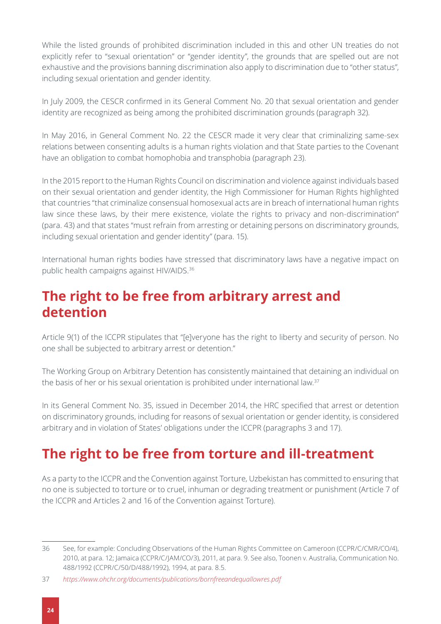While the listed grounds of prohibited discrimination included in this and other UN treaties do not explicitly refer to "sexual orientation" or "gender identity", the grounds that are spelled out are not exhaustive and the provisions banning discrimination also apply to discrimination due to "other status", including sexual orientation and gender identity.

In July 2009, the CESCR confirmed in its General Comment No. 20 that sexual orientation and gender identity are recognized as being among the prohibited discrimination grounds (paragraph 32).

In May 2016, in General Comment No. 22 the CESCR made it very clear that criminalizing same-sex relations between consenting adults is a human rights violation and that State parties to the Covenant have an obligation to combat homophobia and transphobia (paragraph 23).

In the 2015 report to the Human Rights Council on discrimination and violence against individuals based on their sexual orientation and gender identity, the High Commissioner for Human Rights highlighted that countries "that criminalize consensual homosexual acts are in breach of international human rights law since these laws, by their mere existence, violate the rights to privacy and non-discrimination" (para. 43) and that states "must refrain from arresting or detaining persons on discriminatory grounds, including sexual orientation and gender identity" (para. 15).

International human rights bodies have stressed that discriminatory laws have a negative impact on public health campaigns against HIV/AIDS.36

#### <span id="page-23-0"></span>**The right to be free from arbitrary arrest and detention**

Article 9(1) of the ICCPR stipulates that "[e]veryone has the right to liberty and security of person. No one shall be subjected to arbitrary arrest or detention."

The Working Group on Arbitrary Detention has consistently maintained that detaining an individual on the basis of her or his sexual orientation is prohibited under international law.37

In its General Comment No. 35, issued in December 2014, the HRC specified that arrest or detention on discriminatory grounds, including for reasons of sexual orientation or gender identity, is considered arbitrary and in violation of States' obligations under the ICCPR (paragraphs 3 and 17).

#### <span id="page-23-1"></span>**The right to be free from torture and ill-treatment**

As a party to the ICCPR and the Convention against Torture, Uzbekistan has committed to ensuring that no one is subjected to torture or to cruel, inhuman or degrading treatment or punishment (Article 7 of the ICCPR and Articles 2 and 16 of the Convention against Torture).

<sup>36</sup> See, for example: Concluding Observations of the Human Rights Committee on Cameroon (CCPR/C/CMR/CO/4), 2010, at para. 12; Jamaica (CCPR/C/JAM/CO/3), 2011, at para. 9. See also, Toonen v. Australia, Communication No. 488/1992 (CCPR/C/50/D/488/1992), 1994, at para. 8.5.

<sup>37</sup> *<https://www.ohchr.org/documents/publications/bornfreeandequallowres.pdf>*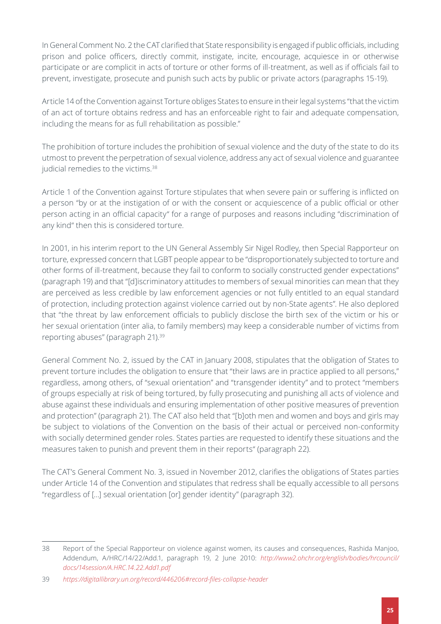In General Comment No. 2 the CAT clarified that State responsibility is engaged if public officials, including prison and police officers, directly commit, instigate, incite, encourage, acquiesce in or otherwise participate or are complicit in acts of torture or other forms of ill-treatment, as well as if officials fail to prevent, investigate, prosecute and punish such acts by public or private actors (paragraphs 15-19).

Article 14 of the Convention against Torture obliges States to ensure in their legal systems "that the victim of an act of torture obtains redress and has an enforceable right to fair and adequate compensation, including the means for as full rehabilitation as possible."

The prohibition of torture includes the prohibition of sexual violence and the duty of the state to do its utmost to prevent the perpetration of sexual violence, address any act of sexual violence and guarantee judicial remedies to the victims.<sup>38</sup>

Article 1 of the Convention against Torture stipulates that when severe pain or suffering is inflicted on a person "by or at the instigation of or with the consent or acquiescence of a public official or other person acting in an official capacity" for a range of purposes and reasons including "discrimination of any kind" then this is considered torture.

In 2001, in his interim report to the UN General Assembly Sir Nigel Rodley, then Special Rapporteur on torture, expressed concern that LGBT people appear to be "disproportionately subjected to torture and other forms of ill-treatment, because they fail to conform to socially constructed gender expectations" (paragraph 19) and that "[d]iscriminatory attitudes to members of sexual minorities can mean that they are perceived as less credible by law enforcement agencies or not fully entitled to an equal standard of protection, including protection against violence carried out by non-State agents". He also deplored that "the threat by law enforcement officials to publicly disclose the birth sex of the victim or his or her sexual orientation (inter alia, to family members) may keep a considerable number of victims from reporting abuses" (paragraph 21).39

General Comment No. 2, issued by the CAT in January 2008, stipulates that the obligation of States to prevent torture includes the obligation to ensure that "their laws are in practice applied to all persons," regardless, among others, of "sexual orientation" and "transgender identity" and to protect "members of groups especially at risk of being tortured, by fully prosecuting and punishing all acts of violence and abuse against these individuals and ensuring implementation of other positive measures of prevention and protection" (paragraph 21). The CAT also held that "[b]oth men and women and boys and girls may be subject to violations of the Convention on the basis of their actual or perceived non-conformity with socially determined gender roles. States parties are requested to identify these situations and the measures taken to punish and prevent them in their reports" (paragraph 22).

The CAT's General Comment No. 3, issued in November 2012, clarifies the obligations of States parties under Article 14 of the Convention and stipulates that redress shall be equally accessible to all persons "regardless of […] sexual orientation [or] gender identity" (paragraph 32).

<sup>38</sup> Report of the Special Rapporteur on violence against women, its causes and consequences, Rashida Manjoo, Addendum, A/HRC/14/22/Add.1, paragraph 19, 2 June 2010: *[http://www2.ohchr.org/english/bodies/hrcouncil/](http://www2.ohchr.org/english/bodies/hrcouncil/docs/14session/A.HRC.14.22.Add1.pdf) [docs/14session/A.HRC.14.22.Add1.pdf](http://www2.ohchr.org/english/bodies/hrcouncil/docs/14session/A.HRC.14.22.Add1.pdf)*

<sup>39</sup> *<https://digitallibrary.un.org/record/446206#record-files-collapse-header>*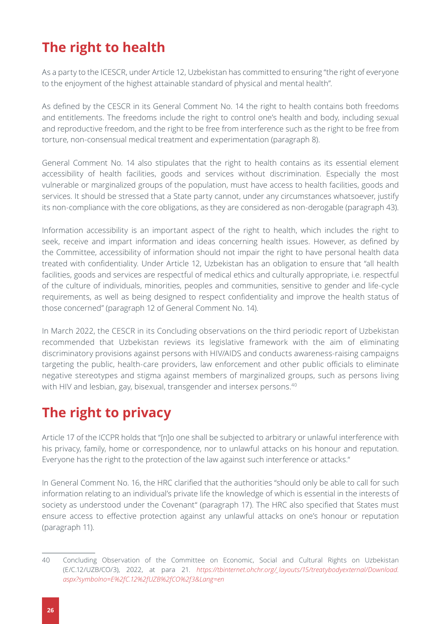### <span id="page-25-0"></span>**The right to health**

As a party to the ICESCR, under Article 12, Uzbekistan has committed to ensuring "the right of everyone to the enjoyment of the highest attainable standard of physical and mental health".

As defined by the CESCR in its General Comment No. 14 the right to health contains both freedoms and entitlements. The freedoms include the right to control one's health and body, including sexual and reproductive freedom, and the right to be free from interference such as the right to be free from torture, non-consensual medical treatment and experimentation (paragraph 8).

General Comment No. 14 also stipulates that the right to health contains as its essential element accessibility of health facilities, goods and services without discrimination. Especially the most vulnerable or marginalized groups of the population, must have access to health facilities, goods and services. It should be stressed that a State party cannot, under any circumstances whatsoever, justify its non-compliance with the core obligations, as they are considered as non-derogable (paragraph 43).

Information accessibility is an important aspect of the right to health, which includes the right to seek, receive and impart information and ideas concerning health issues. However, as defined by the Committee, accessibility of information should not impair the right to have personal health data treated with confidentiality. Under Article 12, Uzbekistan has an obligation to ensure that "all health facilities, goods and services are respectful of medical ethics and culturally appropriate, i.e. respectful of the culture of individuals, minorities, peoples and communities, sensitive to gender and life-cycle requirements, as well as being designed to respect confidentiality and improve the health status of those concerned" (paragraph 12 of General Comment No. 14).

In March 2022, the CESCR in its Concluding observations on the third periodic report of Uzbekistan recommended that Uzbekistan reviews its legislative framework with the aim of eliminating discriminatory provisions against persons with HIV/AIDS and conducts awareness-raising campaigns targeting the public, health-care providers, law enforcement and other public officials to eliminate negative stereotypes and stigma against members of marginalized groups, such as persons living with HIV and lesbian, gay, bisexual, transgender and intersex persons.<sup>40</sup>

### <span id="page-25-1"></span>**The right to privacy**

Article 17 of the ICCPR holds that "[n]o one shall be subjected to arbitrary or unlawful interference with his privacy, family, home or correspondence, nor to unlawful attacks on his honour and reputation. Everyone has the right to the protection of the law against such interference or attacks."

In General Comment No. 16, the HRC clarified that the authorities "should only be able to call for such information relating to an individual's private life the knowledge of which is essential in the interests of society as understood under the Covenant" (paragraph 17). The HRC also specified that States must ensure access to effective protection against any unlawful attacks on one's honour or reputation (paragraph 11).

<sup>40</sup> Concluding Observation of the Committee on Economic, Social and Cultural Rights on Uzbekistan (E/C.12/UZB/CO/3), 2022, at para 21. *[https://tbinternet.ohchr.org/\\_layouts/15/treatybodyexternal/Download.](https://tbinternet.ohchr.org/_layouts/15/treatybodyexternal/Download.aspx?symbolno=E%2fC.12%2fUZB%2fCO%2f3&Lang=en) [aspx?symbolno=E%2fC.12%2fUZB%2fCO%2f3&Lang=en](https://tbinternet.ohchr.org/_layouts/15/treatybodyexternal/Download.aspx?symbolno=E%2fC.12%2fUZB%2fCO%2f3&Lang=en)*